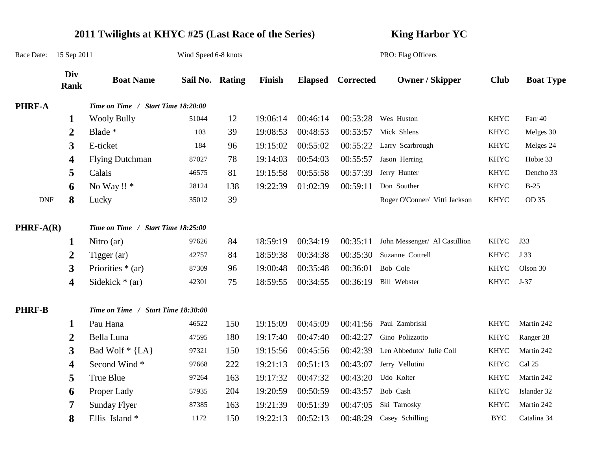|                             | 2011 Twilights at KHYC #25 (Last Race of the Series) |                                    |                      |     |          |          |                    | <b>King Harbor YC</b>         |             |                  |  |
|-----------------------------|------------------------------------------------------|------------------------------------|----------------------|-----|----------|----------|--------------------|-------------------------------|-------------|------------------|--|
| Race Date:                  | 15 Sep 2011                                          |                                    | Wind Speed 6-8 knots |     |          |          | PRO: Flag Officers |                               |             |                  |  |
|                             | Div<br>Rank                                          | <b>Boat Name</b>                   | Sail No. Rating      |     | Finish   |          | Elapsed Corrected  | <b>Owner / Skipper</b>        | <b>Club</b> | <b>Boat Type</b> |  |
| <b>PHRF-A</b>               |                                                      | Time on Time / Start Time 18:20:00 |                      |     |          |          |                    |                               |             |                  |  |
|                             | 1                                                    | <b>Wooly Bully</b>                 | 51044                | 12  | 19:06:14 | 00:46:14 |                    | $00:53:28$ Wes Huston         | <b>KHYC</b> | Farr 40          |  |
|                             | 2                                                    | Blade *                            | 103                  | 39  | 19:08:53 | 00:48:53 | 00:53:57           | Mick Shlens                   | <b>KHYC</b> | Melges 30        |  |
|                             | 3                                                    | E-ticket                           | 184                  | 96  | 19:15:02 | 00:55:02 | 00:55:22           | Larry Scarbrough              | <b>KHYC</b> | Melges 24        |  |
|                             | 4                                                    | <b>Flying Dutchman</b>             | 87027                | 78  | 19:14:03 | 00:54:03 | 00:55:57           | Jason Herring                 | <b>KHYC</b> | Hobie 33         |  |
|                             | 5                                                    | Calais                             | 46575                | 81  | 19:15:58 | 00:55:58 | 00:57:39           | Jerry Hunter                  | <b>KHYC</b> | Dencho 33        |  |
|                             | 6                                                    | No Way !! *                        | 28124                | 138 | 19:22:39 | 01:02:39 | 00:59:11           | Don Souther                   | <b>KHYC</b> | $B-25$           |  |
| $\ensuremath{\mathrm{DNF}}$ | 8                                                    | Lucky                              | 35012                | 39  |          |          |                    | Roger O'Conner/ Vitti Jackson | <b>KHYC</b> | OD 35            |  |
| $PHRF-A(R)$                 |                                                      | Time on Time / Start Time 18:25:00 |                      |     |          |          |                    |                               |             |                  |  |
|                             | 1                                                    | Nitro $(ar)$                       | 97626                | 84  | 18:59:19 | 00:34:19 | 00:35:11           | John Messenger/ Al Castillion | <b>KHYC</b> | J33              |  |
|                             | 2                                                    | Tigger $(ar)$                      | 42757                | 84  | 18:59:38 | 00:34:38 | 00:35:30           | Suzanne Cottrell              | <b>KHYC</b> | J 33             |  |
|                             | 3                                                    | Priorities $*(ar)$                 | 87309                | 96  | 19:00:48 | 00:35:48 | 00:36:01           | Bob Cole                      | <b>KHYC</b> | Olson 30         |  |
|                             | 4                                                    | Sidekick $*(ar)$                   | 42301                | 75  | 18:59:55 | 00:34:55 | 00:36:19           | Bill Webster                  | KHYC        | $J-37$           |  |
| <b>PHRF-B</b>               |                                                      | Time on Time / Start Time 18:30:00 |                      |     |          |          |                    |                               |             |                  |  |
|                             | 1                                                    | Pau Hana                           | 46522                | 150 | 19:15:09 | 00:45:09 | 00:41:56           | Paul Zambriski                | KHYC        | Martin 242       |  |
|                             | 2                                                    | Bella Luna                         | 47595                | 180 | 19:17:40 | 00:47:40 | 00:42:27           | Gino Polizzotto               | KHYC        | Ranger 28        |  |
|                             | 3                                                    | Bad Wolf $*$ {LA}                  | 97321                | 150 | 19:15:56 | 00:45:56 | 00:42:39           | Len Abbeduto/ Julie Coll      | <b>KHYC</b> | Martin 242       |  |
|                             | 4                                                    | Second Wind*                       | 97668                | 222 | 19:21:13 | 00:51:13 | 00:43:07           | Jerry Vellutini               | KHYC        | Cal 25           |  |
|                             | 5                                                    | True Blue                          | 97264                | 163 | 19:17:32 | 00:47:32 | 00:43:20           | Udo Kolter                    | KHYC        | Martin 242       |  |
|                             | 6                                                    | Proper Lady                        | 57935                | 204 | 19:20:59 | 00:50:59 | 00:43:57           | Bob Cash                      | <b>KHYC</b> | Islander 32      |  |
|                             | 7                                                    | <b>Sunday Flyer</b>                | 87385                | 163 | 19:21:39 | 00:51:39 | 00:47:05           | Ski Tarnosky                  | KHYC        | Martin 242       |  |
|                             | 8                                                    | Ellis Island*                      | 1172                 | 150 | 19:22:13 | 00:52:13 | 00:48:29           | Casey Schilling               | <b>BYC</b>  | Catalina 34      |  |